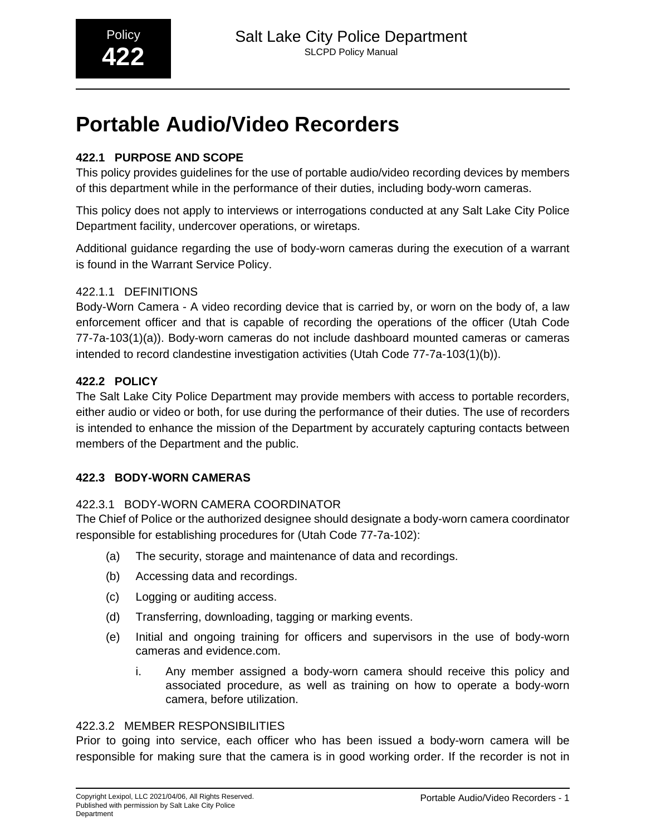## **Portable Audio/Video Recorders**

## **422.1 PURPOSE AND SCOPE**

This policy provides guidelines for the use of portable audio/video recording devices by members of this department while in the performance of their duties, including body-worn cameras.

This policy does not apply to interviews or interrogations conducted at any Salt Lake City Police Department facility, undercover operations, or wiretaps.

Additional guidance regarding the use of body-worn cameras during the execution of a warrant is found in the Warrant Service Policy.

## 422.1.1 DEFINITIONS

Body-Worn Camera - A video recording device that is carried by, or worn on the body of, a law enforcement officer and that is capable of recording the operations of the officer (Utah Code 77-7a-103(1)(a)). Body-worn cameras do not include dashboard mounted cameras or cameras intended to record clandestine investigation activities (Utah Code 77-7a-103(1)(b)).

## **422.2 POLICY**

The Salt Lake City Police Department may provide members with access to portable recorders, either audio or video or both, for use during the performance of their duties. The use of recorders is intended to enhance the mission of the Department by accurately capturing contacts between members of the Department and the public.

## **422.3 BODY-WORN CAMERAS**

## 422.3.1 BODY-WORN CAMERA COORDINATOR

The Chief of Police or the authorized designee should designate a body-worn camera coordinator responsible for establishing procedures for (Utah Code 77-7a-102):

- (a) The security, storage and maintenance of data and recordings.
- (b) Accessing data and recordings.
- (c) Logging or auditing access.
- (d) Transferring, downloading, tagging or marking events.
- (e) Initial and ongoing training for officers and supervisors in the use of body-worn cameras and evidence.com.
	- i. Any member assigned a body-worn camera should receive this policy and associated procedure, as well as training on how to operate a body-worn camera, before utilization.

## 422.3.2 MEMBER RESPONSIBILITIES

Prior to going into service, each officer who has been issued a body-worn camera will be responsible for making sure that the camera is in good working order. If the recorder is not in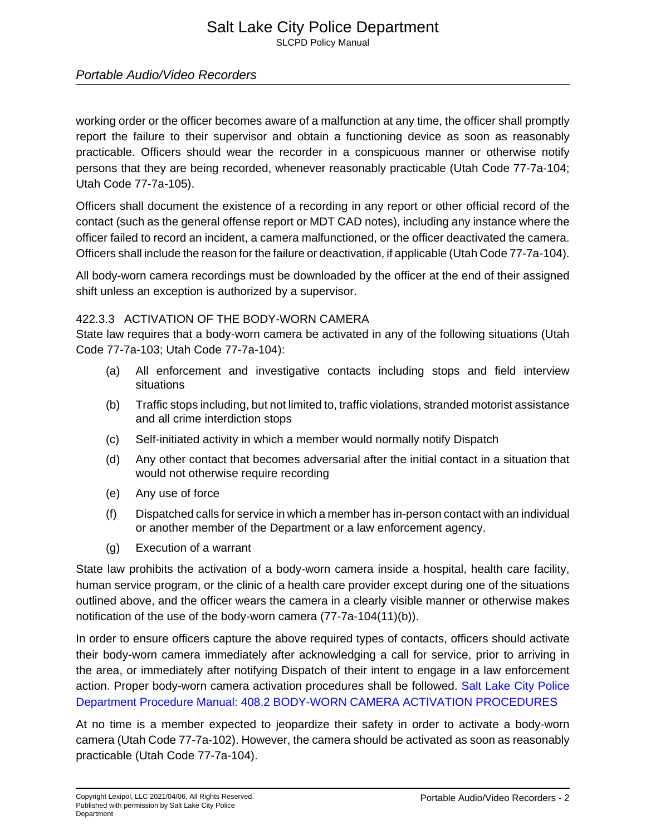# Salt Lake City Police Department

SLCPD Policy Manual

## Portable Audio/Video Recorders

working order or the officer becomes aware of a malfunction at any time, the officer shall promptly report the failure to their supervisor and obtain a functioning device as soon as reasonably practicable. Officers should wear the recorder in a conspicuous manner or otherwise notify persons that they are being recorded, whenever reasonably practicable (Utah Code 77-7a-104; Utah Code 77-7a-105).

Officers shall document the existence of a recording in any report or other official record of the contact (such as the general offense report or MDT CAD notes), including any instance where the officer failed to record an incident, a camera malfunctioned, or the officer deactivated the camera. Officers shall include the reason for the failure or deactivation, if applicable (Utah Code 77-7a-104).

All body-worn camera recordings must be downloaded by the officer at the end of their assigned shift unless an exception is authorized by a supervisor.

#### 422.3.3 ACTIVATION OF THE BODY-WORN CAMERA

State law requires that a body-worn camera be activated in any of the following situations (Utah Code 77-7a-103; Utah Code 77-7a-104):

- (a) All enforcement and investigative contacts including stops and field interview situations
- (b) Traffic stops including, but not limited to, traffic violations, stranded motorist assistance and all crime interdiction stops
- (c) Self-initiated activity in which a member would normally notify Dispatch
- (d) Any other contact that becomes adversarial after the initial contact in a situation that would not otherwise require recording
- (e) Any use of force
- (f) Dispatched calls for service in which a member has in-person contact with an individual or another member of the Department or a law enforcement agency.
- (g) Execution of a warrant

State law prohibits the activation of a body-worn camera inside a hospital, health care facility, human service program, or the clinic of a health care provider except during one of the situations outlined above, and the officer wears the camera in a clearly visible manner or otherwise makes notification of the use of the body-worn camera (77-7a-104(11)(b)).

In order to ensure officers capture the above required types of contacts, officers should activate their body-worn camera immediately after acknowledging a call for service, prior to arriving in the area, or immediately after notifying Dispatch of their intent to engage in a law enforcement action. Proper body-worn camera activation procedures shall be followed. [Salt Lake City Police](1329680397879338973) [Department Procedure Manual: 408.2 BODY-WORN CAMERA ACTIVATION PROCEDURES](1329680397879338973)

At no time is a member expected to jeopardize their safety in order to activate a body-worn camera (Utah Code 77-7a-102). However, the camera should be activated as soon as reasonably practicable (Utah Code 77-7a-104).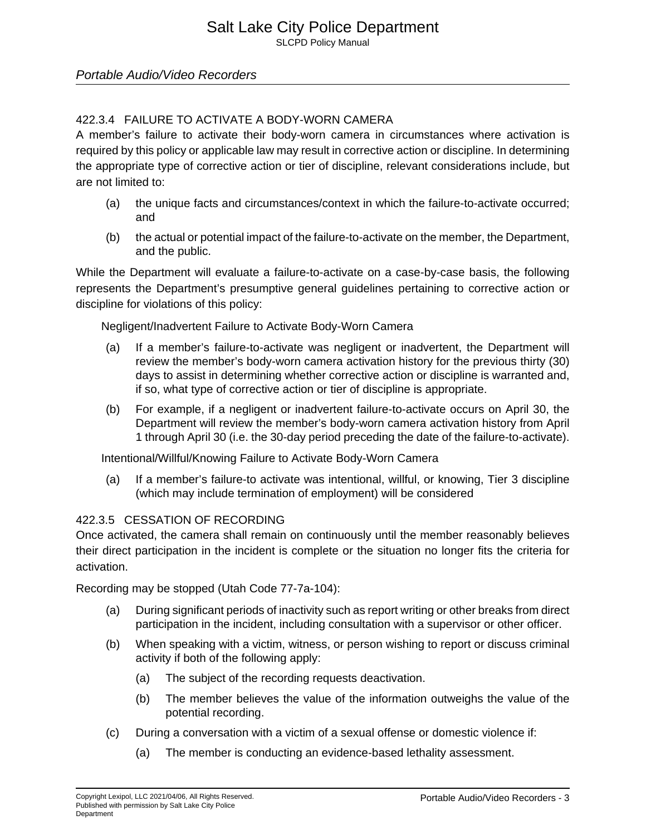## Portable Audio/Video Recorders

## 422.3.4 FAILURE TO ACTIVATE A BODY-WORN CAMERA

A member's failure to activate their body-worn camera in circumstances where activation is required by this policy or applicable law may result in corrective action or discipline. In determining the appropriate type of corrective action or tier of discipline, relevant considerations include, but are not limited to:

- (a) the unique facts and circumstances/context in which the failure-to-activate occurred; and
- (b) the actual or potential impact of the failure-to-activate on the member, the Department, and the public.

While the Department will evaluate a failure-to-activate on a case-by-case basis, the following represents the Department's presumptive general guidelines pertaining to corrective action or discipline for violations of this policy:

Negligent/Inadvertent Failure to Activate Body-Worn Camera

- (a) If a member's failure-to-activate was negligent or inadvertent, the Department will review the member's body-worn camera activation history for the previous thirty (30) days to assist in determining whether corrective action or discipline is warranted and, if so, what type of corrective action or tier of discipline is appropriate.
- (b) For example, if a negligent or inadvertent failure-to-activate occurs on April 30, the Department will review the member's body-worn camera activation history from April 1 through April 30 (i.e. the 30-day period preceding the date of the failure-to-activate).

Intentional/Willful/Knowing Failure to Activate Body-Worn Camera

(a) If a member's failure-to activate was intentional, willful, or knowing, Tier 3 discipline (which may include termination of employment) will be considered

#### 422.3.5 CESSATION OF RECORDING

Once activated, the camera shall remain on continuously until the member reasonably believes their direct participation in the incident is complete or the situation no longer fits the criteria for activation.

Recording may be stopped (Utah Code 77-7a-104):

- (a) During significant periods of inactivity such as report writing or other breaks from direct participation in the incident, including consultation with a supervisor or other officer.
- (b) When speaking with a victim, witness, or person wishing to report or discuss criminal activity if both of the following apply:
	- (a) The subject of the recording requests deactivation.
	- (b) The member believes the value of the information outweighs the value of the potential recording.
- (c) During a conversation with a victim of a sexual offense or domestic violence if:
	- (a) The member is conducting an evidence-based lethality assessment.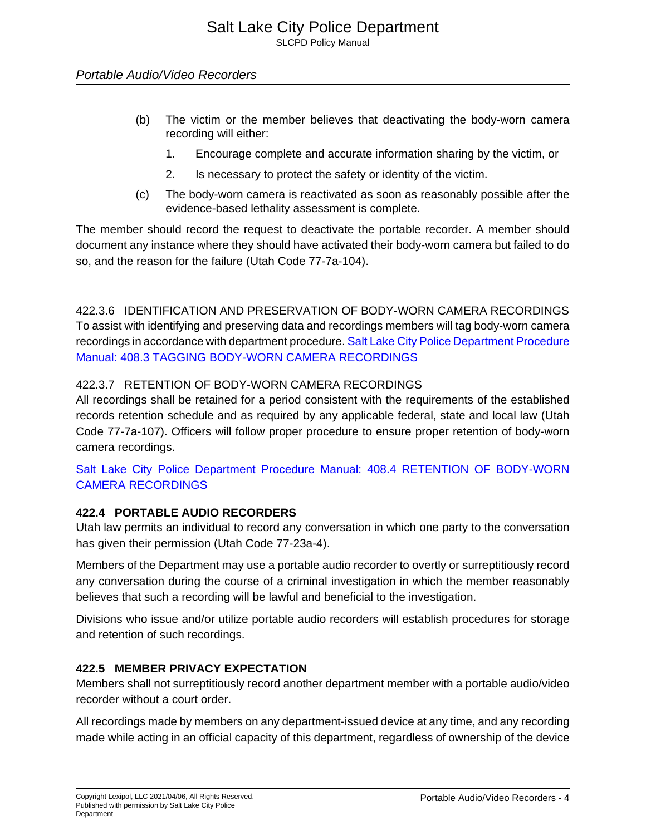- (b) The victim or the member believes that deactivating the body-worn camera recording will either:
	- 1. Encourage complete and accurate information sharing by the victim, or
	- 2. Is necessary to protect the safety or identity of the victim.
- (c) The body-worn camera is reactivated as soon as reasonably possible after the evidence-based lethality assessment is complete.

The member should record the request to deactivate the portable recorder. A member should document any instance where they should have activated their body-worn camera but failed to do so, and the reason for the failure (Utah Code 77-7a-104).

422.3.6 IDENTIFICATION AND PRESERVATION OF BODY-WORN CAMERA RECORDINGS To assist with identifying and preserving data and recordings members will tag body-worn camera recordings in accordance with department procedure. [Salt Lake City Police Department Procedure](1329232223013977525) [Manual: 408.3 TAGGING BODY-WORN CAMERA RECORDINGS](1329232223013977525)

## 422.3.7 RETENTION OF BODY-WORN CAMERA RECORDINGS

All recordings shall be retained for a period consistent with the requirements of the established records retention schedule and as required by any applicable federal, state and local law (Utah Code 77-7a-107). Officers will follow proper procedure to ensure proper retention of body-worn camera recordings.

[Salt Lake City Police Department Procedure Manual: 408.4 RETENTION OF BODY-WORN](1354518368988782219) [CAMERA RECORDINGS](1354518368988782219)

## **422.4 PORTABLE AUDIO RECORDERS**

Utah law permits an individual to record any conversation in which one party to the conversation has given their permission (Utah Code 77-23a-4).

Members of the Department may use a portable audio recorder to overtly or surreptitiously record any conversation during the course of a criminal investigation in which the member reasonably believes that such a recording will be lawful and beneficial to the investigation.

Divisions who issue and/or utilize portable audio recorders will establish procedures for storage and retention of such recordings.

## **422.5 MEMBER PRIVACY EXPECTATION**

Members shall not surreptitiously record another department member with a portable audio/video recorder without a court order.

All recordings made by members on any department-issued device at any time, and any recording made while acting in an official capacity of this department, regardless of ownership of the device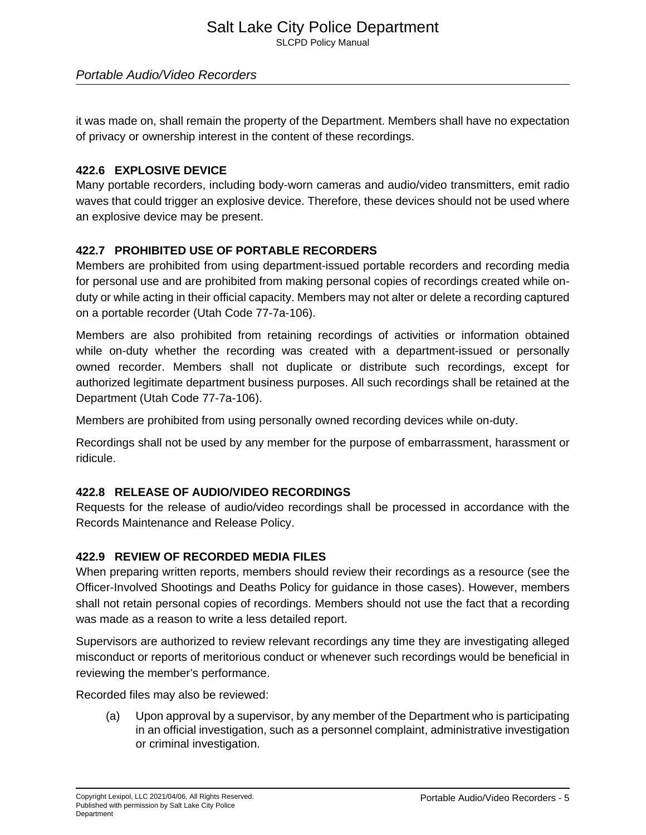## Portable Audio/Video Recorders

it was made on, shall remain the property of the Department. Members shall have no expectation of privacy or ownership interest in the content of these recordings.

#### **422.6 EXPLOSIVE DEVICE**

Many portable recorders, including body-worn cameras and audio/video transmitters, emit radio waves that could trigger an explosive device. Therefore, these devices should not be used where an explosive device may be present.

## **422.7 PROHIBITED USE OF PORTABLE RECORDERS**

Members are prohibited from using department-issued portable recorders and recording media for personal use and are prohibited from making personal copies of recordings created while onduty or while acting in their official capacity. Members may not alter or delete a recording captured on a portable recorder (Utah Code 77-7a-106).

Members are also prohibited from retaining recordings of activities or information obtained while on-duty whether the recording was created with a department-issued or personally owned recorder. Members shall not duplicate or distribute such recordings, except for authorized legitimate department business purposes. All such recordings shall be retained at the Department (Utah Code 77-7a-106).

Members are prohibited from using personally owned recording devices while on-duty.

Recordings shall not be used by any member for the purpose of embarrassment, harassment or ridicule.

#### **422.8 RELEASE OF AUDIO/VIDEO RECORDINGS**

Requests for the release of audio/video recordings shall be processed in accordance with the Records Maintenance and Release Policy.

#### **422.9 REVIEW OF RECORDED MEDIA FILES**

When preparing written reports, members should review their recordings as a resource (see the Officer-Involved Shootings and Deaths Policy for guidance in those cases). However, members shall not retain personal copies of recordings. Members should not use the fact that a recording was made as a reason to write a less detailed report.

Supervisors are authorized to review relevant recordings any time they are investigating alleged misconduct or reports of meritorious conduct or whenever such recordings would be beneficial in reviewing the member's performance.

Recorded files may also be reviewed:

(a) Upon approval by a supervisor, by any member of the Department who is participating in an official investigation, such as a personnel complaint, administrative investigation or criminal investigation.